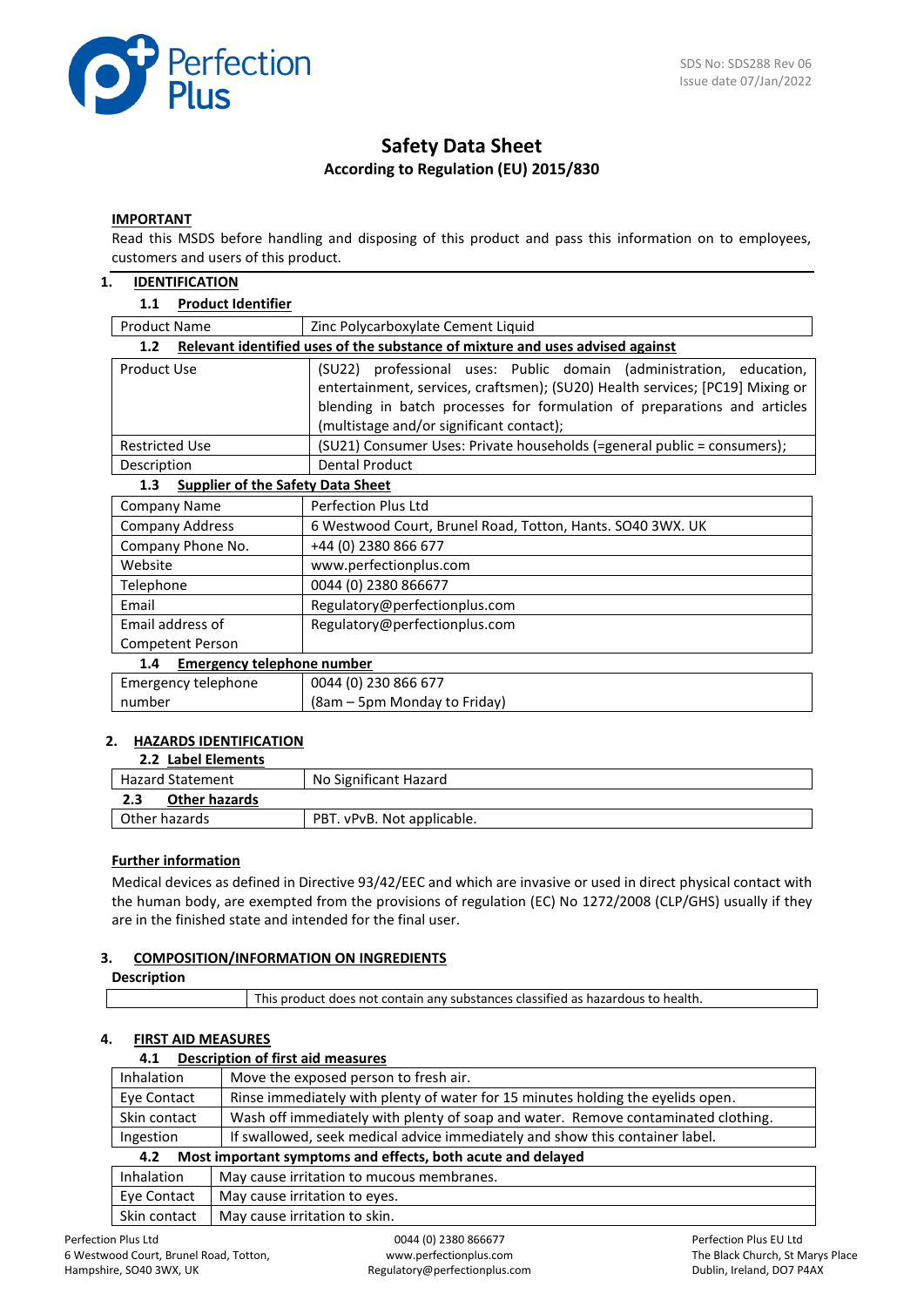

## **Safety Data Sheet According to Regulation (EU) 2015/830**

#### **IMPORTANT**

Read this MSDS before handling and disposing of this product and pass this information on to employees, customers and users of this product.

#### **1. IDENTIFICATION**

#### **1.1 Product Identifier**

| <b>Product Name</b>                             | Zinc Polycarboxylate Cement Liquid                                            |  |  |
|-------------------------------------------------|-------------------------------------------------------------------------------|--|--|
| 1.2 <sub>2</sub>                                | Relevant identified uses of the substance of mixture and uses advised against |  |  |
| Product Use                                     | (SU22) professional uses: Public domain (administration, education,           |  |  |
|                                                 | entertainment, services, craftsmen); (SU20) Health services; [PC19] Mixing or |  |  |
|                                                 | blending in batch processes for formulation of preparations and articles      |  |  |
|                                                 | (multistage and/or significant contact);                                      |  |  |
| <b>Restricted Use</b>                           | (SU21) Consumer Uses: Private households (=general public = consumers);       |  |  |
| Description                                     | <b>Dental Product</b>                                                         |  |  |
| <b>Supplier of the Safety Data Sheet</b><br>1.3 |                                                                               |  |  |
| <b>Company Name</b>                             | <b>Perfection Plus Ltd</b>                                                    |  |  |
| <b>Company Address</b>                          | 6 Westwood Court, Brunel Road, Totton, Hants. SO40 3WX. UK                    |  |  |
| Company Phone No.                               | +44 (0) 2380 866 677                                                          |  |  |
| Website                                         | www.perfectionplus.com                                                        |  |  |
| Telephone                                       | 0044 (0) 2380 866677                                                          |  |  |
| Email                                           | Regulatory@perfectionplus.com                                                 |  |  |
| Email address of                                | Regulatory@perfectionplus.com                                                 |  |  |
| Competent Person                                |                                                                               |  |  |
| <b>Emergency telephone number</b><br>1.4        |                                                                               |  |  |
| Emergency telephone                             | 0044 (0) 230 866 677                                                          |  |  |
| number                                          | (8am – 5pm Monday to Friday)                                                  |  |  |

#### **2. HAZARDS IDENTIFICATION 2.2 Label Elements**

| <b>2.2 Label Elements</b>   |                            |
|-----------------------------|----------------------------|
| <b>Hazard Statement</b>     | No Significant Hazard      |
| <b>Other hazards</b><br>2.3 |                            |
| Other hazards               | PBT. vPvB. Not applicable. |
|                             |                            |

#### **Further information**

Medical devices as defined in Directive 93/42/EEC and which are invasive or used in direct physical contact with the human body, are exempted from the provisions of regulation (EC) No 1272/2008 (CLP/GHS) usually if they are in the finished state and intended for the final user.

#### **3. COMPOSITION/INFORMATION ON INGREDIENTS**

#### **Description**

This product does not contain any substances classified as hazardous to health.

#### **4. FIRST AID MEASURES**

#### **4.1 Description of first aid measures**

| <b>Inhalation</b>                                                                              | Move the exposed person to fresh air.                                             |  |
|------------------------------------------------------------------------------------------------|-----------------------------------------------------------------------------------|--|
| Rinse immediately with plenty of water for 15 minutes holding the eyelids open.<br>Eye Contact |                                                                                   |  |
| Skin contact                                                                                   | Wash off immediately with plenty of soap and water. Remove contaminated clothing. |  |
| Ingestion                                                                                      | If swallowed, seek medical advice immediately and show this container label.      |  |
| Most important symptoms and effects, both acute and delayed<br>4.2                             |                                                                                   |  |
| Inhalation                                                                                     | May cause irritation to mucous membranes.                                         |  |
| Eye Contact                                                                                    | May cause irritation to eyes.                                                     |  |
| Skin contact                                                                                   | May cause irritation to skin.                                                     |  |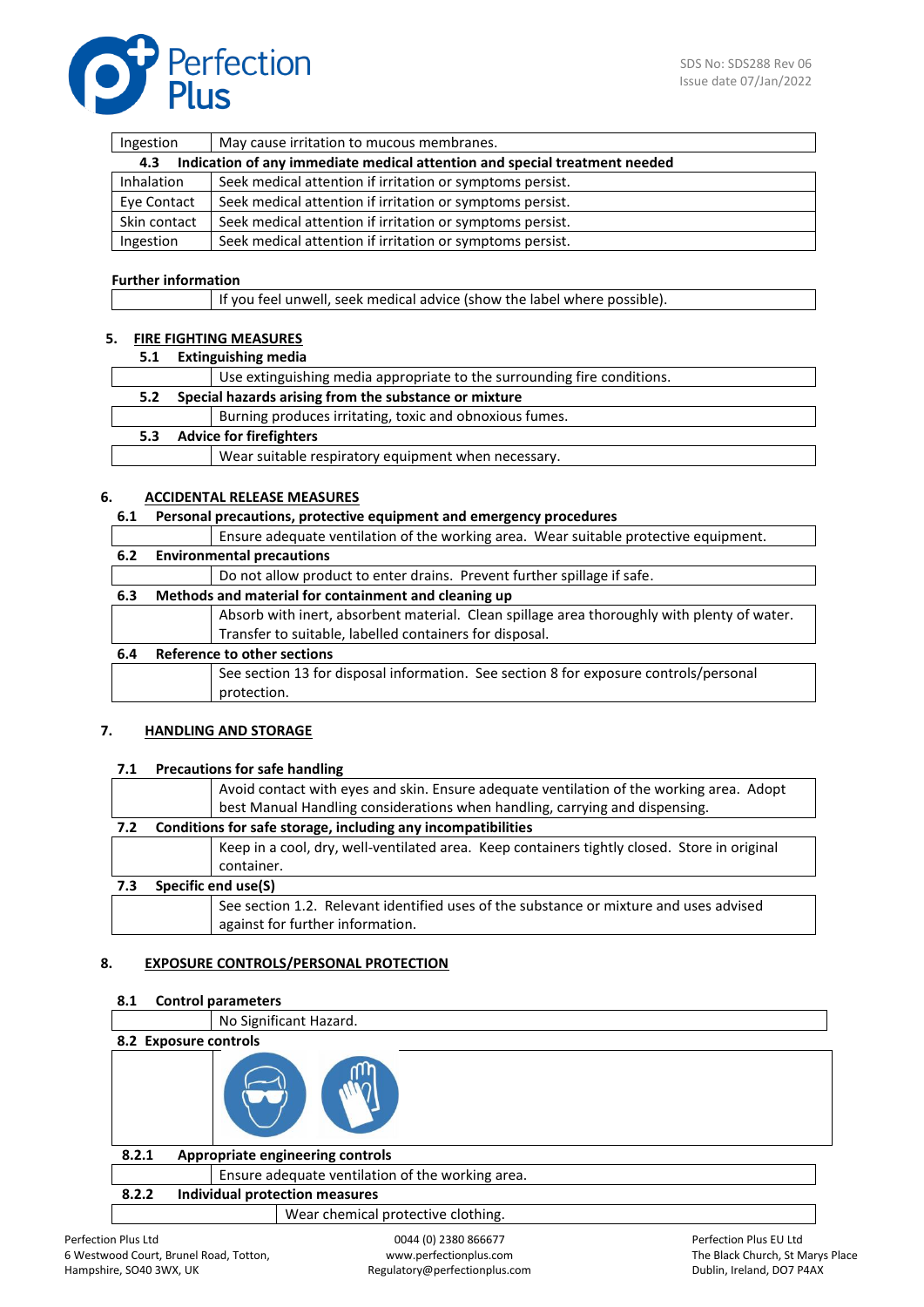

| Ingestion                                                                         | May cause irritation to mucous membranes.                 |  |
|-----------------------------------------------------------------------------------|-----------------------------------------------------------|--|
| Indication of any immediate medical attention and special treatment needed<br>4.3 |                                                           |  |
| <b>Inhalation</b>                                                                 | Seek medical attention if irritation or symptoms persist. |  |
| Eye Contact                                                                       | Seek medical attention if irritation or symptoms persist. |  |
| Skin contact                                                                      | Seek medical attention if irritation or symptoms persist. |  |
| Ingestion                                                                         | Seek medical attention if irritation or symptoms persist. |  |

#### **Further information**

If you feel unwell, seek medical advice (show the label where possible).

#### **5. FIRE FIGHTING MEASURES**

**5.1 Extinguishing media**

|     | Use extinguishing media appropriate to the surrounding fire conditions. |
|-----|-------------------------------------------------------------------------|
| 5.2 | Special hazards arising from the substance or mixture                   |
|     | Burning produces irritating, toxic and obnoxious fumes.                 |
| 5.3 | <b>Advice for firefighters</b>                                          |
|     | Wear suitable respiratory equipment when necessary.                     |

#### **6. ACCIDENTAL RELEASE MEASURES**

#### **6.1 Personal precautions, protective equipment and emergency procedures**

|     | Ensure adequate ventilation of the working area. Wear suitable protective equipment.        |  |  |
|-----|---------------------------------------------------------------------------------------------|--|--|
| 6.2 | <b>Environmental precautions</b>                                                            |  |  |
|     | Do not allow product to enter drains. Prevent further spillage if safe.                     |  |  |
| 6.3 | Methods and material for containment and cleaning up                                        |  |  |
|     | Absorb with inert, absorbent material. Clean spillage area thoroughly with plenty of water. |  |  |
|     | Transfer to suitable, labelled containers for disposal.                                     |  |  |
| 6.4 | Reference to other sections                                                                 |  |  |
|     | See section 13 for disposal information. See section 8 for exposure controls/personal       |  |  |
|     | protection.                                                                                 |  |  |

#### **7. HANDLING AND STORAGE**

#### **7.1 Precautions for safe handling**

|     | Avoid contact with eyes and skin. Ensure adequate ventilation of the working area. Adopt     |
|-----|----------------------------------------------------------------------------------------------|
|     | best Manual Handling considerations when handling, carrying and dispensing.                  |
| 7.2 | Conditions for safe storage, including any incompatibilities                                 |
|     | Keep in a cool, dry, well-ventilated area. Keep containers tightly closed. Store in original |
|     | container.                                                                                   |
| 7.3 | Specific end use(S)                                                                          |
|     | See section 1.2. Relevant identified uses of the substance or mixture and uses advised       |
|     | against for further information.                                                             |

#### **8. EXPOSURE CONTROLS/PERSONAL PROTECTION**

# 0044 (0) 2380 866677 Perfection Plus EU Ltd **8.1 Control parameters** No Significant Hazard. **8.2 Exposure controls 8.2.1 Appropriate engineering controls**  Ensure adequate ventilation of the working area. **8.2.2 Individual protection measures**  Wear chemical protective clothing.

www.perfectionplus.com Regulatory@perfectionplus.com The Black Church, St Marys Place Dublin, Ireland, DO7 P4AX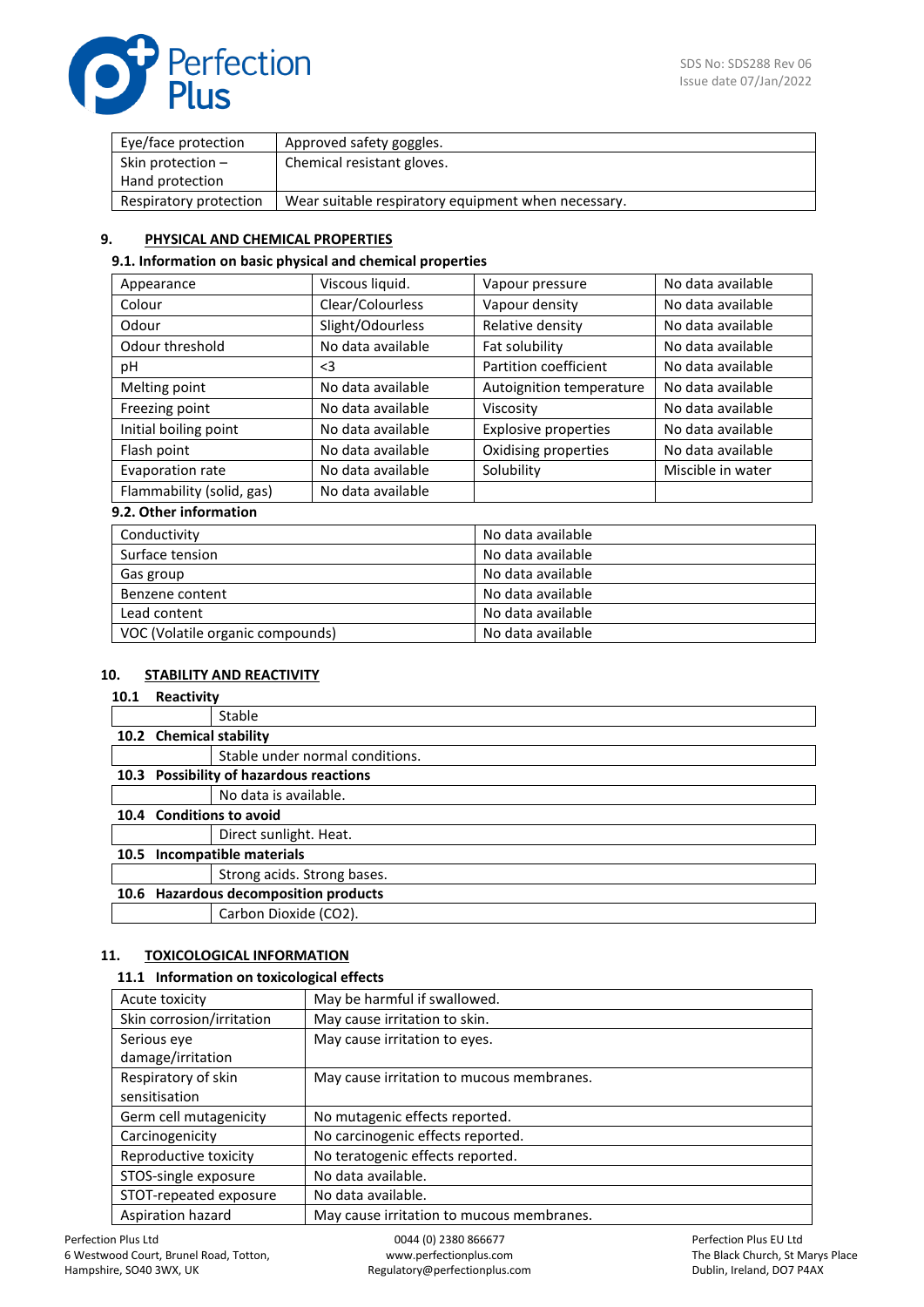

| Eye/face protection    | Approved safety goggles.                            |
|------------------------|-----------------------------------------------------|
| Skin protection $-$    | Chemical resistant gloves.                          |
| Hand protection        |                                                     |
| Respiratory protection | Wear suitable respiratory equipment when necessary. |

#### **9. PHYSICAL AND CHEMICAL PROPERTIES**

#### **9.1. Information on basic physical and chemical properties**

| Appearance                | Viscous liquid.   | Vapour pressure             | No data available |
|---------------------------|-------------------|-----------------------------|-------------------|
| Colour                    | Clear/Colourless  | Vapour density              | No data available |
| Odour                     | Slight/Odourless  | Relative density            | No data available |
| Odour threshold           | No data available | Fat solubility              | No data available |
| рH                        | $3$               | Partition coefficient       | No data available |
| Melting point             | No data available | Autoignition temperature    | No data available |
| Freezing point            | No data available | Viscosity                   | No data available |
| Initial boiling point     | No data available | <b>Explosive properties</b> | No data available |
| Flash point               | No data available | Oxidising properties        | No data available |
| Evaporation rate          | No data available | Solubility                  | Miscible in water |
| Flammability (solid, gas) | No data available |                             |                   |

#### **9.2. Other information**

| Conductivity                     | No data available |  |
|----------------------------------|-------------------|--|
| Surface tension                  | No data available |  |
| Gas group                        | No data available |  |
| Benzene content                  | No data available |  |
| Lead content                     | No data available |  |
| VOC (Volatile organic compounds) | No data available |  |

#### **10. STABILITY AND REACTIVITY**

#### **10.1 Reactivity**

|                         | Stable                                  |
|-------------------------|-----------------------------------------|
| 10.2 Chemical stability |                                         |
|                         | Stable under normal conditions.         |
|                         | 10.3 Possibility of hazardous reactions |
|                         | No data is available.                   |
|                         | 10.4 Conditions to avoid                |
|                         | Direct sunlight. Heat.                  |
|                         | 10.5 Incompatible materials             |
|                         | Strong acids. Strong bases.             |
|                         | 10.6 Hazardous decomposition products   |
|                         | Carbon Dioxide (CO2).                   |
|                         |                                         |

#### **11. TOXICOLOGICAL INFORMATION**

#### **11.1 Information on toxicological effects**

| Acute toxicity            | May be harmful if swallowed.              |
|---------------------------|-------------------------------------------|
| Skin corrosion/irritation | May cause irritation to skin.             |
| Serious eye               | May cause irritation to eyes.             |
| damage/irritation         |                                           |
| Respiratory of skin       | May cause irritation to mucous membranes. |
| sensitisation             |                                           |
| Germ cell mutagenicity    | No mutagenic effects reported.            |
| Carcinogenicity           | No carcinogenic effects reported.         |
| Reproductive toxicity     | No teratogenic effects reported.          |
| STOS-single exposure      | No data available.                        |
| STOT-repeated exposure    | No data available.                        |
| Aspiration hazard         | May cause irritation to mucous membranes. |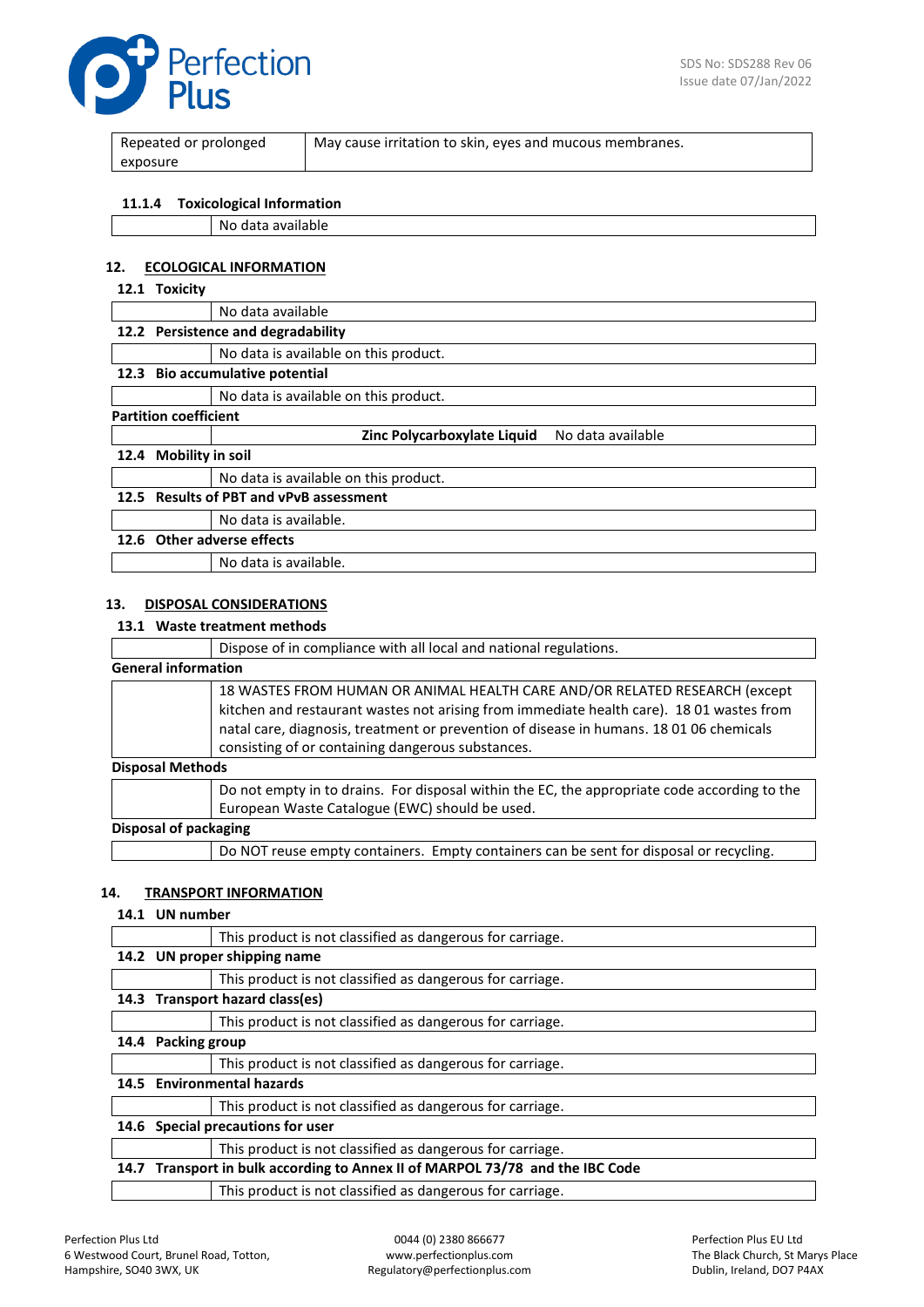

| Repeated or prolonged | May cause irritation to skin, eyes and mucous membranes. |
|-----------------------|----------------------------------------------------------|
| exposure              |                                                          |

#### **11.1.4 Toxicological Information**

| - Nu<br>-<br>dvdildDie<br>. . <i>.</i> 1<br>╶ |
|-----------------------------------------------|
|                                               |

#### **12. ECOLOGICAL INFORMATION**

#### **12.1 Toxicity**

|                              |                                 | No data available                                |  |
|------------------------------|---------------------------------|--------------------------------------------------|--|
|                              |                                 | 12.2 Persistence and degradability               |  |
|                              |                                 | No data is available on this product.            |  |
| 12.3                         |                                 | Bio accumulative potential                       |  |
|                              |                                 | No data is available on this product.            |  |
| <b>Partition coefficient</b> |                                 |                                                  |  |
|                              |                                 | No data available<br>Zinc Polycarboxylate Liquid |  |
|                              | <b>Mobility in soil</b><br>12.4 |                                                  |  |
|                              |                                 |                                                  |  |
|                              |                                 | No data is available on this product.            |  |
| 12.5                         |                                 | <b>Results of PBT and vPvB assessment</b>        |  |
|                              |                                 | No data is available.                            |  |

No data is available.

### **13. DISPOSAL CONSIDERATIONS**

#### **13.1 Waste treatment methods**

|                            | Dispose of in compliance with all local and national regulations.                                                                                                                                                                                                                                                      |  |
|----------------------------|------------------------------------------------------------------------------------------------------------------------------------------------------------------------------------------------------------------------------------------------------------------------------------------------------------------------|--|
| <b>General information</b> |                                                                                                                                                                                                                                                                                                                        |  |
|                            | 18 WASTES FROM HUMAN OR ANIMAL HEALTH CARE AND/OR RELATED RESEARCH (except<br>kitchen and restaurant wastes not arising from immediate health care). 18 01 wastes from<br>natal care, diagnosis, treatment or prevention of disease in humans. 18 01 06 chemicals<br>consisting of or containing dangerous substances. |  |
| <b>Disposal Methods</b>    |                                                                                                                                                                                                                                                                                                                        |  |
|                            | Do not empty in to drains. For disposal within the EC, the appropriate code according to the<br>European Waste Catalogue (EWC) should be used.                                                                                                                                                                         |  |
| Disposal of packaging      |                                                                                                                                                                                                                                                                                                                        |  |
|                            | Do NOT reuse empty containers. Empty containers can be sent for disposal or recycling.                                                                                                                                                                                                                                 |  |

#### **14. TRANSPORT INFORMATION**

#### **14.1 UN number**

|      |                                                                               | This product is not classified as dangerous for carriage. |
|------|-------------------------------------------------------------------------------|-----------------------------------------------------------|
|      | 14.2 UN proper shipping name                                                  |                                                           |
|      |                                                                               | This product is not classified as dangerous for carriage. |
|      | 14.3 Transport hazard class(es)                                               |                                                           |
|      |                                                                               | This product is not classified as dangerous for carriage. |
| 14.4 | <b>Packing group</b>                                                          |                                                           |
|      |                                                                               | This product is not classified as dangerous for carriage. |
| 14.5 | <b>Environmental hazards</b>                                                  |                                                           |
|      |                                                                               | This product is not classified as dangerous for carriage. |
| 14.6 | Special precautions for user                                                  |                                                           |
|      |                                                                               | This product is not classified as dangerous for carriage. |
|      | 14.7 Transport in bulk according to Annex II of MARPOL 73/78 and the IBC Code |                                                           |
|      |                                                                               | This product is not classified as dangerous for carriage. |